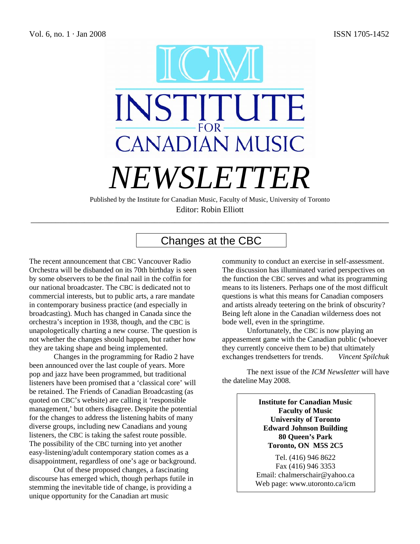

Published by the Institute for Canadian Music, Faculty of Music, University of Toronto Editor: Robin Elliott

\_\_\_\_\_\_\_\_\_\_\_\_\_\_\_\_\_\_\_\_\_\_\_\_\_\_\_\_\_\_\_\_\_\_\_\_\_\_\_\_\_\_\_\_\_\_\_\_\_\_\_\_\_\_\_\_\_\_\_\_\_\_\_\_\_\_\_\_\_\_\_\_\_\_\_\_\_\_\_\_\_\_\_\_\_\_\_

# Changes at the CBC

The recent announcement that CBC Vancouver Radio Orchestra will be disbanded on its 70th birthday is seen by some observers to be the final nail in the coffin for our national broadcaster. The CBC is dedicated not to commercial interests, but to public arts, a rare mandate in contemporary business practice (and especially in broadcasting). Much has changed in Canada since the orchestra's inception in 1938, though, and the CBC is unapologetically charting a new course. The question is not whether the changes should happen, but rather how they are taking shape and being implemented.

 Changes in the programming for Radio 2 have been announced over the last couple of years. More pop and jazz have been programmed, but traditional listeners have been promised that a 'classical core' will be retained. The Friends of Canadian Broadcasting (as quoted on CBC's website) are calling it 'responsible management,' but others disagree. Despite the potential for the changes to address the listening habits of many diverse groups, including new Canadians and young listeners, the CBC is taking the safest route possible. The possibility of the CBC turning into yet another easy-listening/adult contemporary station comes as a disappointment, regardless of one's age or background.

 Out of these proposed changes, a fascinating discourse has emerged which, though perhaps futile in stemming the inevitable tide of change, is providing a unique opportunity for the Canadian art music

community to conduct an exercise in self-assessment. The discussion has illuminated varied perspectives on the function the CBC serves and what its programming means to its listeners. Perhaps one of the most difficult questions is what this means for Canadian composers and artists already teetering on the brink of obscurity? Being left alone in the Canadian wilderness does not bode well, even in the springtime.

 Unfortunately, the CBC is now playing an appeasement game with the Canadian public (whoever they currently conceive them to be) that ultimately exchanges trendsetters for trends. *Vincent Spilchuk* 

The next issue of the *ICM Newsletter* will have the dateline May 2008.

> **Institute for Canadian Music Faculty of Music University of Toronto Edward Johnson Building 80 Queen's Park Toronto, ON M5S 2C5**

Tel. (416) 946 8622 Fax (416) 946 3353 Email: [chalmerschair@yahoo.ca](mailto:ChalmersChair@yahoo.ca)  Web page: www.utoronto.ca/icm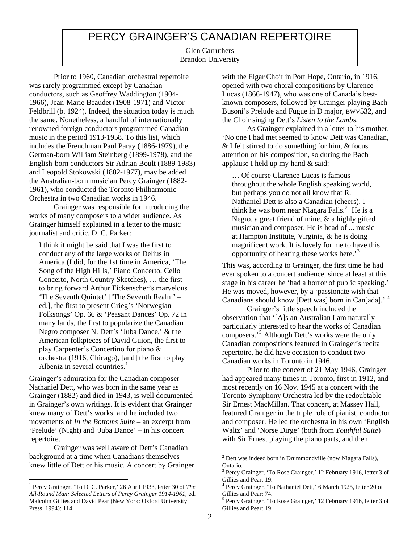# PERCY GRAINGER'S CANADIAN REPERTOIRE

Glen Carruthers Brandon University

 Prior to 1960, Canadian orchestral repertoire was rarely programmed except by Canadian conductors, such as Geoffrey Waddington (1904- 1966), Jean-Marie Beaudet (1908-1971) and Victor Feldbrill (b. 1924). Indeed, the situation today is much the same. Nonetheless, a handful of internationally renowned foreign conductors programmed Canadian music in the period 1913-1958. To this list, which includes the Frenchman Paul Paray (1886-1979), the German-born William Steinberg (1899-1978), and the English-born conductors Sir Adrian Boult (1889-1983) and Leopold Stokowski (1882-1977), may be added the Australian-born musician Percy Grainger (1882- 1961), who conducted the Toronto Philharmonic Orchestra in two Canadian works in 1946.

 Grainger was responsible for introducing the works of many composers to a wider audience. As Grainger himself explained in a letter to the music journalist and critic, D. C. Parker:

I think it might be said that I was the first to conduct any of the large works of Delius in America (I did, for the 1st time in America, 'The Song of the High Hills,' Piano Concerto, Cello Concerto, North Country Sketches), … the first to bring forward Arthur Fickenscher's marvelous 'The Seventh Quintet' ['The Seventh Realm' – ed.], the first to present Grieg's 'Norwegian Folksongs' Op. 66 & 'Peasant Dances' Op. 72 in many lands, the first to popularize the Canadian Negro composer N. Dett's 'Juba Dance,' & the American folkpieces of David Guion, the first to play Carpenter's Concertino for piano & orchestra (1916, Chicago), [and] the first to play Albeniz in several countries.<sup>[1](#page-1-0)</sup>

Grainger's admiration for the Canadian composer Nathaniel Dett, who was born in the same year as Grainger (1882) and died in 1943, is well documented in Grainger's own writings. It is evident that Grainger knew many of Dett's works, and he included two movements of *In the Bottoms Suite* – an excerpt from 'Prelude' (Night) and 'Juba Dance' – in his concert repertoire.

<span id="page-1-1"></span> Grainger was well aware of Dett's Canadian background at a time when Canadians themselves knew little of Dett or his music. A concert by Grainger with the Elgar Choir in Port Hope, Ontario, in 1916, opened with two choral compositions by Clarence Lucas (1866-1947), who was one of Canada's bestknown composers, followed by Grainger playing Bach-Busoni's Prelude and Fugue in D major, BWV532, and the Choir singing Dett's *Listen to the Lambs*.

 As Grainger explained in a letter to his mother, 'No one I had met seemed to know Dett was Canadian, & I felt stirred to do something for him, & focus attention on his composition, so during the Bach applause I held up my hand & said:

… Of course Clarence Lucas is famous throughout the whole English speaking world, but perhaps you do not all know that R. Nathaniel Dett is also a Canadian (cheers). I think he was born near Niagara Falls. $<sup>2</sup>$  $<sup>2</sup>$  $<sup>2</sup>$  He is a</sup> Negro, a great friend of mine, & a highly gifted musician and composer. He is head of ... music at Hampton Institute, Virginia, & he is doing magnificent work. It is lovely for me to have this opportunity of hearing these works here.'[3](#page-1-2)

This was, according to Grainger, the first time he had ever spoken to a concert audience, since at least at this stage in his career he 'had a horror of public speaking.' He was moved, however, by a 'passionate wish that Canadians should know [Dett was] born in Can[ada].' [4](#page-1-0)

 Grainger's little speech included the observation that '[A]s an Australian I am naturally particularly interested to hear the works of Canadian composers.'[5](#page-1-3) Although Dett's works were the only Canadian compositions featured in Grainger's recital repertoire, he did have occasion to conduct two Canadian works in Toronto in 1946.

 Prior to the concert of 21 May 1946, Grainger had appeared many times in Toronto, first in 1912, and most recently on 16 Nov. 1945 at a concert with the Toronto Symphony Orchestra led by the redoubtable Sir Ernest MacMillan. That concert, at Massey Hall, featured Grainger in the triple role of pianist, conductor and composer. He led the orchestra in his own 'English Waltz' and 'Norse Dirge' (both from *Youthful Suite*) with Sir Ernest playing the piano parts, and then

<span id="page-1-3"></span><span id="page-1-2"></span><span id="page-1-0"></span> $\overline{a}$ <sup>1</sup> Percy Grainger, 'To D. C. Parker,' 26 April 1933, letter 30 of *The All-Round Man: Selected Letters of Percy Grainger 1914-1961*, ed. Malcolm Gillies and David Pear (New York: Oxford University Press, 1994): 114.

 $2^{2}$  Dett was indeed born in Drummondville (now Niagara Falls), Ontario.

<sup>3</sup> Percy Grainger, 'To Rose Grainger,' 12 February 1916, letter 3 of Gillies and Pear: 19.

<sup>4</sup> Percy Grainger, 'To Nathaniel Dett,' 6 March 1925, letter 20 of Gillies and Pear: 74.

<sup>5</sup> Percy Grainger, 'To Rose Grainger,' 12 February 1916, letter 3 of Gillies and Pear: 19.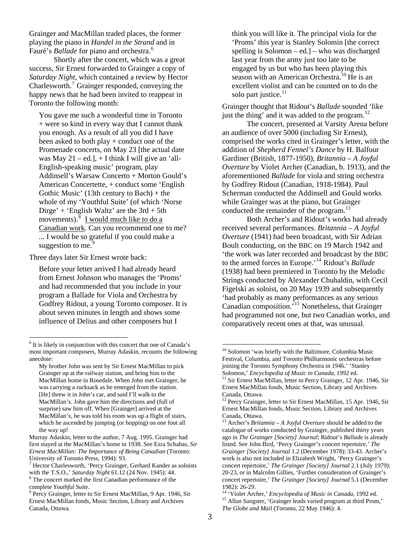Grainger and MacMillan traded places, the former playing the piano in *Handel in the Strand* and in Fauré's *Ballade* for piano and orchestra.<sup>6</sup>

 Shortly after the concert, which was a great success, Sir Ernest forwarded to Grainger a copy of *Saturday Night*, which contained a review by Hector Charlesworth.<sup>[7](#page-2-1)</sup> Grainger responded, conveying the happy news that he had been invited to reappear in Toronto the following month:

You gave me such a wonderful time in Toronto + were so kind in every way that I cannot thank you enough. As a result of all you did I have been asked to both play + conduct one of the Promenade concerts, on May 23 [the actual date was May  $21 - ed.$ ],  $+ I$  think I will give an 'all-English-speaking music' program, play Addinsell's Warsaw Concerto + Morton Gould's American Concertette, + conduct some 'English Gothic Music' (13th century to Bach) + the whole of my 'Youthful Suite' (of which 'Norse Dirge' + 'English Waltz' are the 3rd + 5th movements). $\frac{8}{3}$  $\frac{8}{3}$  $\frac{8}{3}$  I would much like to do a Canadian work. Can you recommend one to me? ... I would be so grateful if you could make a suggestion to me.<sup>[9](#page-2-3)</sup>

Three days later Sir Ernest wrote back:

Before your letter arrived I had already heard from Ernest Johnson who manages the 'Proms' and had recommended that you include in your program a Ballade for Viola and Orchestra by Godfrey Ridout, a young Toronto composer. It is about seven minutes in length and shows some influence of Delius and other composers but I

think you will like it. The principal viola for the 'Proms' this year is Stanley Solomin [the correct spelling is Solomon – ed.] – who was discharged last year from the army just too late to be engaged by us but who has been playing this season with an American Orchestra.<sup>[10](#page-2-4)</sup> He is an excellent violist and can be counted on to do the solo part justice. $11$ 

Grainger thought that Ridout's *Ballade* sounded 'like just the thing' and it was added to the program. $^{12}$ 

 The concert, presented at Varsity Arena before an audience of over 5000 (including Sir Ernest), comprised the works cited in Grainger's letter, with the addition of *Shepherd Fennel's Dance* by H. Balfour Gardiner (British, 1877-1950), *Britannia – A Joyful Overture* by Violet Archer (Canadian, b. 1913), and the aforementioned *Ballade* for viola and string orchestra by Godfrey Ridout (Canadian, 1918-1984). Paul Scherman conducted the Addinsell and Gould works while Grainger was at the piano, but Grainger conducted the remainder of the program.<sup>[13](#page-2-7)</sup>

 Both Archer's and Ridout's works had already received several performances. *Britannia – A Joyful Overture* (1941) had been broadcast, with Sir Adrian Boult conducting, on the BBC on 19 March 1942 and 'the work was later recorded and broadcast by the BBC to the armed forces in Europe.'[14](#page-2-3) Ridout's *Ballade* (1938) had been premiered in Toronto by the Melodic Strings conducted by Alexander Chuhaldin, with Cecil Figelski as soloist, on 20 May 1939 and subsequently 'had probably as many performances as any serious Canadian composition.'[15](#page-2-8) Nonetheless, that Grainger had programmed not one, but two Canadian works, and comparatively recent ones at that, was unusual.

<span id="page-2-4"></span><span id="page-2-0"></span> $\frac{1}{6}$  $6$  It is likely in conjunction with this concert that one of Canada's most important composers, Murray Adaskin, recounts the following anecdote:

<span id="page-2-5"></span>My brother John was sent by Sir Ernest MacMillan to pick Grainger up at the railway station, and bring him to the MacMillan home in Rosedale. When John met Grainger, he was carrying a rucksack as he emerged from the station. [He] threw it in John's car, and said I'll walk to the MacMillan's. John gave him the directions and (full of surprise) saw him off. When [Grainger] arrived at the MacMillan's, he was told his room was up a flight of stairs, which he ascended by jumping (or hopping) on one foot all the way up!

<span id="page-2-7"></span><span id="page-2-6"></span>Murray Adaskin, letter to the author, 7 Aug. 1995. Grainger had first stayed at the MacMillan's home in 1938. See Ezra Schabas, *Sir Ernest MacMillan: The Importance of Being Canadian* (Toronto: University of Toronto Press, 1994): 93.

<span id="page-2-2"></span><span id="page-2-1"></span><sup>7</sup> Hector Charlesworth, 'Percy Grainger, Gerhard Kander as soloists with the T.S.O.,' *Saturday Night* 61.12 (24 Nov. 1945): 44. 8 <sup>8</sup> The concert marked the first Canadian performance of the complete Youthful Suite.

<span id="page-2-8"></span><span id="page-2-3"></span><sup>&</sup>lt;sup>9</sup> Percy Grainger, letter to Sir Ernest MacMillan, 9 Apr. 1946, Sir Ernest MacMillan fonds, Music Section, Library and Archives Canada, Ottawa.

<sup>&</sup>lt;sup>10</sup> Solomon 'was briefly with the Baltimore, Columbia Music Festival, Columbia, and Toronto Philharmonic orchestras before joining the Toronto Symphony Orchestra in 1946.' 'Stanley Solomon,' *Encyclopedia of Music in Canada*, 1992 ed. 11 Sir Ernest MacMillan, letter to Percy Grainger, 12 Apr. 1946, Sir

Ernest MacMillan fonds, Music Section, Library and Archives Canada, Ottawa.

<sup>&</sup>lt;sup>12</sup> Percy Grainger, letter to Sir Ernest MacMillan, 15 Apr. 1946, Sir Ernest MacMillan fonds, Music Section, Library and Archives Canada, Ottawa.

<sup>13</sup> Archer's *Britannia – A Joyful Overture* should be added to the catalogue of works conducted by Grainger, published thirty years ago in *The Grainger [Society] Journal*; Ridout's *Ballade* is already listed. See John Bird, 'Percy Grainger's concert repertoire*,' The Grainger [Society] Journal* 1.2 (December 1978): 33-43. Archer's work is also not included in Elizabeth Wright, 'Percy Grainger's concert repertoire,' *The Grainger [Society] Journal* 2.1 (July 1979): 20-23, or in Malcolm Gillies, 'Further consideration of Grainger's concert repertoire,' *The Grainger [Society] Journal* 5.1 (December

<sup>1982): 26-29.&</sup>lt;br><sup>14</sup> 'Violet Archer,' *Encyclopedia of Music in Canada*, 1992 ed. <sup>15</sup> Allan Sangster, 'Grainger leads varied program at third Prom,' *The Globe and Mail* (Toronto, 22 May 1946): 4.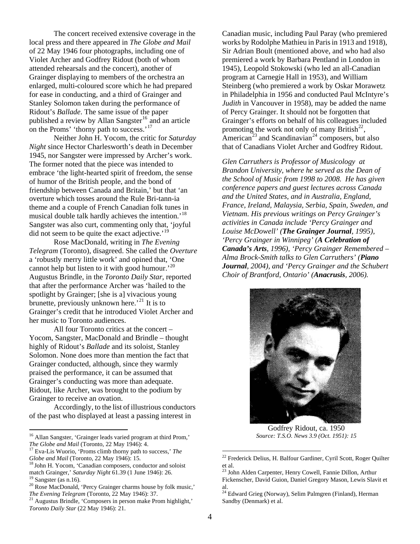The concert received extensive coverage in the local press and there appeared in *The Globe and Mail* of 22 May 1946 four photographs, including one of Violet Archer and Godfrey Ridout (both of whom attended rehearsals and the concert), another of Grainger displaying to members of the orchestra an enlarged, multi-coloured score which he had prepared for ease in conducting, and a third of Grainger and Stanley Solomon taken during the performance of Ridout's *Ballade*. The same issue of the paper published a review by Allan Sangster<sup>[16](#page-3-0)</sup> and an article on the Proms' 'thorny path to success.'<sup>[17](#page-3-1)</sup>

 Neither John H. Yocom, the critic for *Saturday Night* since Hector Charlesworth's death in December 1945, nor Sangster were impressed by Archer's work. The former noted that the piece was intended to embrace 'the light-hearted spirit of freedom, the sense of humor of the British people, and the bond of friendship between Canada and Britain,' but that 'an overture which tosses around the Rule Bri-tann-ia theme and a couple of French Canadian folk tunes in musical double talk hardly achieves the intention.<sup>'[18](#page-3-2)</sup> Sangster was also curt, commenting only that, 'joyful did not seem to be quite the exact adjective.<sup>'[19](#page-3-3)</sup>

 Rose MacDonald, writing in *The Evening Telegram* (Toronto), disagreed. She called the *Overture* a 'robustly merry little work' and opined that, 'One cannot help but listen to it with good humour.<sup>[20](#page-3-4)</sup> Augustus Brindle, in the *Toronto Daily Star*, reported that after the performance Archer was 'hailed to the spotlight by Grainger; [she is a] vivacious young brunette, previously unknown here.<sup>[21](#page-3-5)</sup> It is to Grainger's credit that he introduced Violet Archer and her music to Toronto audiences.

 All four Toronto critics at the concert – Yocom, Sangster, MacDonald and Brindle – thought highly of Ridout's *Ballade* and its soloist, Stanley Solomon. None does more than mention the fact that Grainger conducted, although, since they warmly praised the performance, it can be assumed that Grainger's conducting was more than adequate. Ridout, like Archer, was brought to the podium by Grainger to receive an ovation.

 Accordingly, to the list of illustrious conductors of the past who displayed at least a passing interest in

 $\overline{a}$ 

Canadian music, including Paul Paray (who premiered works by Rodolphe Mathieu in Paris in 1913 and 1918), Sir Adrian Boult (mentioned above, and who had also premiered a work by Barbara Pentland in London in 1945), Leopold Stokowski (who led an all-Canadian program at Carnegie Hall in 1953), and William Steinberg (who premiered a work by Oskar Morawetz in Philadelphia in 1956 and conducted Paul McIntyre's *Judith* in Vancouver in 1958), may be added the name of Percy Grainger. It should not be forgotten that Grainger's efforts on behalf of his colleagues included promoting the work not only of many British<sup>[22](#page-3-6)</sup>, American<sup>[23](#page-3-7)</sup> and Scandinavian<sup>[24](#page-3-8)</sup> composers, but also that of Canadians Violet Archer and Godfrey Ridout.

*Glen Carruthers is Professor of Musicology at Brandon University, where he served as the Dean of the School of Music from 1998 to 2008. He has given conference papers and guest lectures across Canada and the United States, and in Australia, England, France, Ireland, Malaysia, Serbia, Spain, Sweden, and Vietnam. His previous writings on Percy Grainger's activities in Canada include 'Percy Grainger and Louise McDowell' (The Grainger Journal, 1995), 'Percy Grainger in Winnipeg' (A Celebration of Canada's Arts, 1996), 'Percy Grainger Remembered – Alma Brock-Smith talks to Glen Carruthers' (Piano Journal, 2004), and 'Percy Grainger and the Schubert Choir of Brantford, Ontario' (Anacrusis, 2006).*



Godfrey Ridout, ca. 1950 *Source: T.S.O. News 3.9 (Oct. 1951): 15*

<span id="page-3-0"></span><sup>&</sup>lt;sup>16</sup> Allan Sangster, 'Grainger leads varied program at third Prom,' *The Globe and Mail* (Toronto, 22 May 1946): 4. <sup>17</sup> Eva-Lis Wuorio, 'Proms climb thorny path to success,' *The* 

<span id="page-3-6"></span><span id="page-3-1"></span>*Globe and Mail* (Toronto, 22 May 1946): 15.<br><sup>18</sup> John H. Yocom, 'Canadian composers, conductor and soloist

<span id="page-3-7"></span><span id="page-3-2"></span>match Grainger,' *Saturday Night* 61.39 (1 June 1946): 26.<br><sup>19</sup> Sangster (as n.16).

<span id="page-3-8"></span><span id="page-3-4"></span><span id="page-3-3"></span><sup>20</sup> Rose MacDonald, 'Percy Grainger charms house by folk music,' *The Evening Telegram* (Toronto, 22 May 1946): 37.<br><sup>21</sup> Augustus Brindle, 'Composers in person make Prom highlight,'

<span id="page-3-5"></span>*Toronto Daily Star* (22 May 1946): 21.

<sup>&</sup>lt;sup>22</sup> Frederick Delius, H. Balfour Gardiner, Cyril Scott, Roger Quilter et al.

<sup>&</sup>lt;sup>23</sup> John Alden Carpenter, Henry Cowell, Fannie Dillon, Arthur Fickenscher, David Guion, Daniel Gregory Mason, Lewis Slavit et al.

<sup>&</sup>lt;sup>24</sup> Edward Grieg (Norway), Selim Palmgren (Finland), Herman Sandby (Denmark) et al.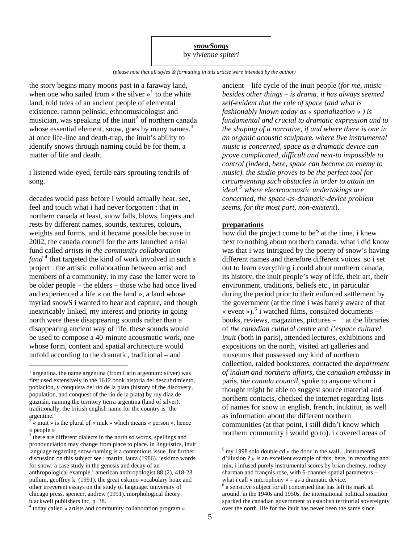### *snowSongs* by *vivienne spiteri*

*(please note that all styles & formatting in this article were intended by the author)* 

the story begins many moons past in a faraway land, when one who sailed from  $\ll$  the silver  $\llbracket \cdot \rrbracket^1$  $\llbracket \cdot \rrbracket^1$  to the white land, told tales of an ancient people of elemental existence. ramon pelinski, ethnomusicologist and musician, was speaking of the inuit<sup>[2](#page-4-1)</sup> of northern canada whose essential element, snow, goes by many names. $3$ at once life-line and death-trap, the inuit's ability to identify snows through naming could be for them, a matter of life and death.

i listened wide-eyed, fertile ears sprouting tendrils of song.

decades would pass before i would actually hear, see, feel and touch what i had never forgotten : that in northern canada at least, snow falls, blows, lingers and rests by different names, sounds, textures, colours, weights and forms. and it became possible because in 2002, the canada council for the arts launched a trial fund called *artists in the community collaboration*  fund<sup>[4](#page-4-3)</sup> that targeted the kind of work involved in such a project : the artistic collaboration between artist and members of a community. in my case the latter were to be older people – the elders – those who had once lived and experienced a life « on the land », a land whose myriad snowS i wanted to hear and capture, and though inextricably linked, my interest and priority in going north were these disappearing sounds rather than a disappearing ancient way of life. these sounds would be used to compose a 40-minute acousmatic work, one whose form, content and spatial architecture would unfold according to the dramatic, traditional – and

 $\overline{a}$ 

ancient – life cycle of the inuit people (*for me, music* – *besides other things* – *is drama. it has always seemed self-evident that the role of space (and what is fashionably known today as « spatialization » ) is fundamental and crucial to dramatic expression and to the shaping of a narrative, if and where there is one in an organic acoustic sculpture. where live instrumental music is concerned, space as a dramatic device can prove complicated, difficult and next-to impossible to control (indeed, here, space can become an enemy to music). the studio proves to be the perfect tool for circumventing such obstacles in order to attain an ideal.[5](#page-4-4) where electroacoustic undertakings are concerned, the space-as-dramatic-device problem seems, for the most part, non-existent*).

#### **preparations**

how did the project come to be? at the time, i knew next to nothing about northern canada. what i did know was that i was intrigued by the poetry of snow's having different names and therefore different voices. so i set out to learn everything i could about northern canada, its history, the inuit people's way of life, their art, their environment, traditions, beliefs etc., in particular during the period prior to their enforced settlement by the government (at the time i was barely aware of that « event »).<sup>[6](#page-4-5)</sup> i watched films, consulted documents books, reviews, magazines, pictures – at the libraries of *the canadian cultural centre* and *l'espace culturel inuit* (both in paris), attended lectures, exhibitions and expositions on the north, visited art galleries and museums that possessed any kind of northern collection, raided bookstores, contacted the *department of indian and northern affairs*, the *canadian embassy* in paris*, the canada council*, spoke to anyone whom i thought might be able to suggest source material and northern contacts, checked the internet regarding lists of names for snow in english, french, inuktitut, as well as information about the different northern communities (at that point, i still didn't know which northern community i would go to). i covered areas of

<span id="page-4-0"></span> $<sup>1</sup>$  argentina. the name argentina (from Latin argentum: silver) was</sup> first used extensively in the 1612 book historia del descubrimiento, población, y conquista del río de la plata (history of the discovery, population, and conquest of the río de la plata) by ruy díaz de guzmán, naming the territory tierra argentina (land of silver). traditionally, the british english name for the country is 'the argentine.'

<span id="page-4-1"></span> $2 \times \text{inuit} \rightarrow \text{is the plural of } \times \text{inuk} \rightarrow \text{which means } \times \text{person} \rightarrow \text{hence}$ « people »

<span id="page-4-4"></span><span id="page-4-2"></span><sup>&</sup>lt;sup>3</sup> there are different dialects in the north so words, spellings and pronounciation may change from place to place. in linguistics, inuit language regarding snow-naming is a contentious issue. for further discussion on this subject see : martin, laura (1986). 'eskimo words for snow: a case study in the genesis and decay of an anthropological example.' american anthropologist 88 (2), 418-23. pullum, geoffrey k. (1991). the great eskimo vocabulary hoax and other irreverent essays on the study of language. university of chicago press. spencer, andrew (1991). morphological theory. blackwell publishers inc, p. 38.

<span id="page-4-5"></span><span id="page-4-3"></span>today called « artists and community collaboration program »

 $<sup>5</sup>$  my 1998 solo double cd « the door in the wall... instrumentS</sup> d'illusion ? » is an excellent example of this; here, in recording and mix, i infused purely instrumental scores by brian cherney, rodney sharman and françois rose, with 6-channel spatial parameters – what  $i$  call « microphony » – as a dramatic device.

<sup>6</sup> a sensitive subject for all concerned that has left its mark all around. in the 1940s and 1950s, the international political situation sparked the canadian government to establish territorial sovereignty over the north. life for the inuit has never been the same since. <sup>4</sup>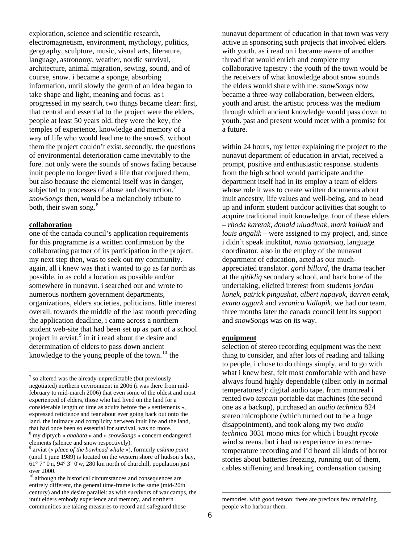exploration, science and scientific research, electromagnetism, environment, mythology, politics, geography, sculpture, music, visual arts, literature, language, astronomy, weather, nordic survival, architecture, animal migration, sewing, sound, and of course, snow. i became a sponge, absorbing information, until slowly the germ of an idea began to take shape and light, meaning and focus. as i progressed in my search, two things became clear: first, that central and essential to the project were the elders, people at least 50 years old. they were the key, the temples of experience, knowledge and memory of a way of life who would lead me to the snowS. without them the project couldn't exist. secondly, the questions of environmental deterioration came inevitably to the fore. not only were the sounds of snows fading because inuit people no longer lived a life that conjured them, but also because the elemental itself was in danger, subjected to processes of abuse and destruction.<sup>[7](#page-5-0)</sup> *snowSongs* then, would be a melancholy tribute to both, their swan song.<sup>[8](#page-5-1)</sup>

#### **collaboration**

 $\overline{a}$ 

one of the canada council's application requirements for this programme is a written confirmation by the collaborating partner of its participation in the project. my next step then, was to seek out my community. again, all i knew was that i wanted to go as far north as possible, in as cold a location as possible and/or somewhere in nunavut. i searched out and wrote to numerous northern government departments, organizations, elders societies, politicians. little interest overall. towards the middle of the last month preceding the application deadline, i came across a northern student web-site that had been set up as part of a school project in arviat.<sup>[9](#page-5-2)</sup> in it i read about the desire and determination of elders to pass down ancient knowledge to the young people of the town.<sup>[10](#page-5-3)</sup> the

nunavut department of education in that town was very active in sponsoring such projects that involved elders with youth. as i read on i became aware of another thread that would enrich and complete my collaborative tapestry : the youth of the town would be the receivers of what knowledge about snow sounds the elders would share with me. *snowSongs* now became a three-way collaboration, between elders, youth and artist. the artistic process was the medium through which ancient knowledge would pass down to youth. past and present would meet with a promise for a future.

within 24 hours, my letter explaining the project to the nunavut department of education in arviat, received a prompt, positive and enthusiastic response. students from the high school would participate and the department itself had in its employ a team of elders whose role it was to create written documents about inuit ancestry, life values and well-being, and to head up and inform student outdoor activities that sought to acquire traditional inuit knowledge. four of these elders – *rhoda karetak, donald uluadluak, mark kalluak* and *louis angalik* – were assigned to my project, and, since i didn't speak inuktitut, *nunia qanatsiaq*, language coordinator, also in the employ of the nunavut department of education, acted as our muchappreciated translator. *gord billard*, the drama teacher at the *qitikliq* secondary school, and back bone of the undertaking, elicited interest from students *jordan konek, patrick pingushat, albert napayok, darren eetak, evano aggark* and *veronica kidlapik*. we had our team. three months later the canada council lent its support and *snowSongs* was on its way.

# **equipment**

selection of stereo recording equipment was the next thing to consider, and after lots of reading and talking to people, i chose to do things simply, and to go with what i knew best, felt most comfortable with and have always found highly dependable (albeit only in normal temperatures!): digital audio tape. from montreal i rented two *tascam* portable dat machines (the second one as a backup), purchased an *audio technica* 824 stereo microphone (which turned out to be a huge disappointment), and took along my two *audio technica* 3031 mono mics for which i bought *rycote*  wind screens. but i had no experience in extremetemperature recording and i'd heard all kinds of horror stories about batteries freezing, running out of them, cables stiffening and breaking, condensation causing

<span id="page-5-0"></span> $<sup>7</sup>$  so altered was the already-unpredictable (but previously</sup> negotiated) northern environment in 2006 (i was there from midfebruary to mid-march 2006) that even some of the oldest and most experienced of elders, those who had lived on the land for a considerable length of time as adults before the « settlements », expressed reticience and fear about ever going back out onto the land. the intimacy and complicity between inuit life and the land, that had once been so essential for survival, was no more. my diptych « *anahata* » and « *snowSongs* » concern endangered

<span id="page-5-1"></span>elements (silence and snow respectively). 9 arviat (*« place of the bowhead whale »*), formerly *eskimo point*

<span id="page-5-2"></span><sup>(</sup>until 1 june 1989) is located on the western shore of hudson's bay, 61° 7" 0'n, 94° 3" 0'w, 280 km north of churchill, population just over 2000.

<span id="page-5-3"></span><sup>&</sup>lt;sup>10</sup> although the historical circumstances and consequences are entirely different, the general time-frame is the same (mid-20th century) and the desire parallel: as with survivors of war camps, the inuit elders embody experience and memory, and northern communities are taking measures to record and safeguard those

memories. with good reason: there are precious few remaining people who harbour them.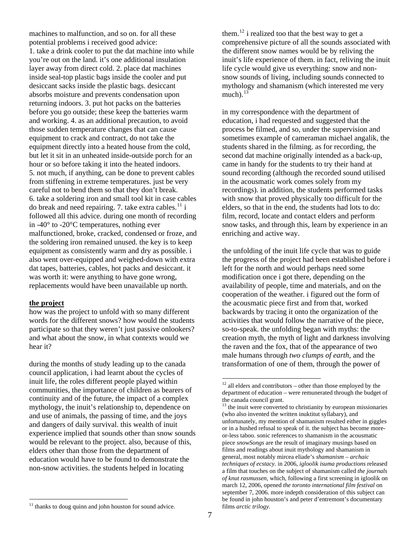machines to malfunction, and so on. for all these potential problems i received good advice: 1. take a drink cooler to put the dat machine into while you're out on the land. it's one additional insulation layer away from direct cold. 2. place dat machines inside seal-top plastic bags inside the cooler and put desiccant sacks inside the plastic bags. desiccant absorbs moisture and prevents condensation upon returning indoors. 3. put hot packs on the batteries before you go outside; these keep the batteries warm and working. 4. as an additional precaution, to avoid those sudden temperature changes that can cause equipment to crack and contract, do not take the equipment directly into a heated house from the cold, but let it sit in an unheated inside-outside porch for an hour or so before taking it into the heated indoors. 5. not much, if anything, can be done to prevent cables from stiffening in extreme temperatures. just be very careful not to bend them so that they don't break. 6. take a soldering iron and small tool kit in case cables do break and need repairing. 7. take extra cables. $^{11}$  $^{11}$  $^{11}$  i followed all this advice. during one month of recording in -40° to -20°C temperatures, nothing ever malfunctioned, broke, cracked, condensed or froze, and the soldering iron remained unused. the key is to keep equipment as consistently warm and dry as possible. i also went over-equipped and weighed-down with extra dat tapes, batteries, cables, hot packs and desiccant. it was worth it: were anything to have gone wrong, replacements would have been unavailable up north.

#### **the project**

 $\overline{a}$ 

how was the project to unfold with so many different words for the different snows? how would the students participate so that they weren't just passive onlookers? and what about the snow, in what contexts would we hear it?

<span id="page-6-2"></span><span id="page-6-1"></span>during the months of study leading up to the canada council application, i had learnt about the cycles of inuit life, the roles different people played within communities, the importance of children as bearers of continuity and of the future, the impact of a complex mythology, the inuit's relationship to, dependence on and use of animals, the passing of time, and the joys and dangers of daily survival. this wealth of inuit experience implied that sounds other than snow sounds would be relevant to the project. also, because of this, elders other than those from the department of education would have to be found to demonstrate the non-snow activities. the students helped in locating

them.<sup>[12](#page-6-1)</sup> i realized too that the best way to get a comprehensive picture of all the sounds associated with the different snow names would be by reliving the inuit's life experience of them. in fact, reliving the inuit life cycle would give us everything: snow and nonsnow sounds of living, including sounds connected to mythology and shamanism (which interested me very much). $13$ 

in my correspondence with the department of education, i had requested and suggested that the process be filmed, and so, under the supervision and sometimes example of cameraman michael angalik, the students shared in the filming. as for recording, the second dat machine originally intended as a back-up, came in handy for the students to try their hand at sound recording (although the recorded sound utilised in the acousmatic work comes solely from my recordings). in addition, the students performed tasks with snow that proved physically too difficult for the elders, so that in the end, the students had lots to do: film, record, locate and contact elders and perform snow tasks, and through this, learn by experience in an enriching and active way.

the unfolding of the inuit life cycle that was to guide the progress of the project had been established before i left for the north and would perhaps need some modification once i got there, depending on the availability of people, time and materials, and on the cooperation of the weather. i figured out the form of the acousmatic piece first and from that, worked backwards by tracing it onto the organization of the activities that would follow the narrative of the piece, so-to-speak. the unfolding began with myths: the creation myth, the myth of light and darkness involving the raven and the fox, that of the appearance of two male humans through *two clumps of earth*, and the transformation of one of them, through the power of

 $12$  all elders and contributors – other than those employed by the department of education – were remunerated through the budget of the canada council grant.

 $13$  the inuit were converted to christianity by european missionaries (who also invented the written inuktitut syllabary), and unfortunately, my mention of shamanism resulted either in giggles or in a hushed refusal to speak of it. the subject has become moreor-less taboo. sonic references to shamanism in the acousmatic piece *snowSongs* are the result of imaginary musings based on films and readings about inuit mythology and shamanism in general, most notably mircea eliade's *shamanism – archaic techniques of ecstacy.* in 2006*, igloolik isuma productions* released a film that touches on the subject of shamanism called *the journals of knut rasmussen,* which, following a first screening in igloolik on march 12, 2006, opened *the toronto international film festival* on september 7, 2006. more indepth consideration of this subject can be found in john houston's and peter d'entremont's documentary films *arctic trilogy.* 

<span id="page-6-0"></span> $11$  thanks to doug quinn and john houston for sound advice.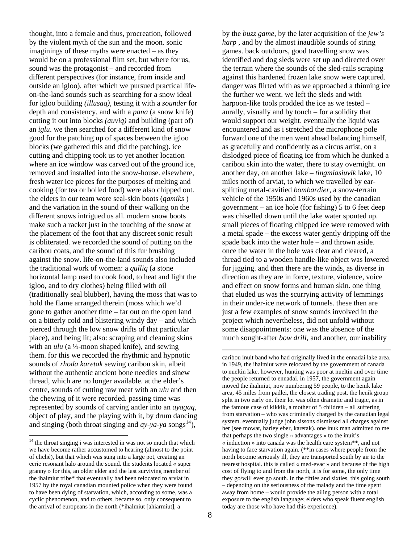thought, into a female and thus, procreation, followed by the violent myth of the sun and the moon. sonic imaginings of these myths were enacted – as they would be on a professional film set, but where for us, sound was the protagonist – and recorded from different perspectives (for instance, from inside and outside an igloo), after which we pursued practical lifeon-the-land sounds such as searching for a snow ideal for igloo building *(illusaq),* testing it with a *sounder* for depth and consistency, and with a *pana* (a snow knife) cutting it out into blocks *(auviq)* and building (part of) an *iglu*. we then searched for a different kind of snow good for the patching up of spaces between the igloo blocks (we gathered this and did the patching). ice cutting and chipping took us to yet another location where an ice window was carved out of the ground ice, removed and installed into the snow-house. elsewhere, fresh water ice pieces for the purposes of melting and cooking (for tea or boiled food) were also chipped out. the elders in our team wore seal-skin boots (*qamiks* ) and the variation in the sound of their walking on the different snows intrigued us all. modern snow boots make such a racket just in the touching of the snow at the placement of the foot that any discreet sonic result is obliterated. we recorded the sound of putting on the caribou coats, and the sound of this fur brushing against the snow. life-on-the-land sounds also included the traditional work of women: a *qulliq* (a stone horizontal lamp used to cook food, to heat and light the igloo, and to dry clothes) being filled with oil (traditionally seal blubber), having the moss that was to hold the flame arranged therein (moss which we'd gone to gather another time – far out on the open land on a bitterly cold and blistering windy day – and which pierced through the low snow drifts of that particular place), and being lit; also: scraping and cleaning skins with an *ulu* (a ¼-moon shaped knife), and sewing them. for this we recorded the rhythmic and hypnotic sounds of *rhoda karetak* sewing caribou skin, albeit without the authentic ancient bone needles and sinew thread, which are no longer available. at the elder's centre, sounds of cutting raw meat with an *ulu* and then the chewing of it were recorded. passing time was represented by sounds of carving antler into an *ayagaq,*  object of play, and the playing with it, by drum dancing and singing (both throat singing and  $ay\text{-}ya\text{-}ya$  songs<sup>[14](#page-7-0)</sup>),

 $\overline{a}$ 

 $\overline{a}$ 

by the *buzz game*, by the later acquisition of the *jew's harp* , and by the almost inaudible sounds of string games. back outdoors, good travelling snow was identified and dog sleds were set up and directed over the terrain where the sounds of the sled-rails scraping against this hardened frozen lake snow were captured. danger was flirted with as we approached a thinning ice the further we went. we left the sleds and with harpoon-like tools prodded the ice as we tested – aurally, visually and by touch – for a solidity that would support our weight. eventually the liquid was encountered and as i stretched the microphone pole forward one of the men went ahead balancing himself, as gracefully and confidently as a circus artist, on a dislodged piece of floating ice from which he dunked a caribou skin into the water, there to stay overnight. on another day, on another lake – *tingmiasiuvik* lake, 10 miles north of arviat, to which we travelled by earsplitting metal-cavitied *bombardier*, a snow-terrain vehicle of the 1950s and 1960s used by the canadian government – an ice hole (for fishing) 5 to 6 feet deep was chiselled down until the lake water spouted up. small pieces of floating chipped ice were removed with a metal spade – the excess water gently dripping off the spade back into the water hole – and thrown aside. once the water in the hole was clear and cleared, a thread tied to a wooden handle-like object was lowered for jigging. and then there are the winds, as diverse in direction as they are in force, texture, violence, voice and effect on snow forms and human skin. one thing that eluded us was the scurrying activity of lemmings in their under-ice network of tunnels. these then are just a few examples of snow sounds involved in the project which nevertheless, did not unfold without some disappointments: one was the absence of the much sought-after *bow drill,* and another, our inability

<span id="page-7-0"></span><sup>&</sup>lt;sup>14</sup> the throat singing i was interested in was not so much that which we have become rather accustomed to hearing (almost to the point of cliché), but that which was sung into a large pot, creating an eerie resonant halo around the sound. the students located « super granny » for this, an older elder and the last surviving member of the ihalmiut tribe\* that eventually had been relocated to arviat in 1957 by the royal canadian mounted police when they were found to have been dying of starvation, which, according to some, was a cyclic phenomenon, and to others, became so, only consequent to the arrival of europeans in the north (\*ihalmiut [ahiarmiut], a

caribou inuit band who had originally lived in the ennadai lake area. in 1949, the ihalmiut were relocated by the government of canada to nueltin lake. however, hunting was poor at nueltin and over time the people returned to ennadai. in 1957, the government again moved the ihalmiut, now numbering 59 people, to the henik lake area, 45 miles from padlei, the closest trading post. the henik group split in two early on. their lot was often dramatic and tragic, as in the famous case of kikkik, a mother of 5 children – all suffering from starvation – who was criminally charged by the canadian legal system. eventually judge john sissons dismissed all charges against her (see mowat, harley eber, karetak). one inuk man admitted to me that perhaps the two single « advantages » to the inuit's « induction » into canada was the health care system\*\*, and not having to face starvation again. (\*\*in cases where people from the north become seriously ill, they are transported south by air to the nearest hospital. this is called « med-evac » and because of the high cost of flying to and from the north, it is for some, the only time they go/will ever go south. in the fifties and sixties, this going south – depending on the seriousness of the malady and the time spent away from home – would provide the ailing person with a total exposure to the english language; elders who speak fluent english today are those who have had this experience).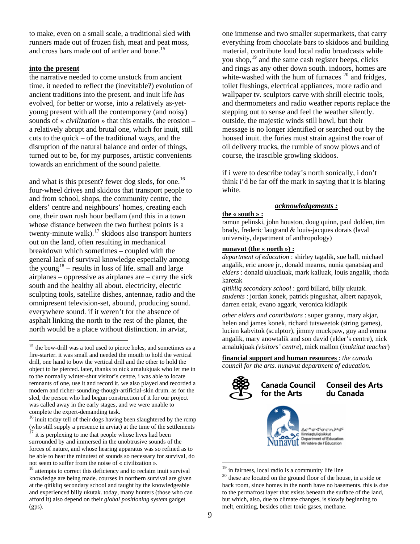to make, even on a small scale, a traditional sled with runners made out of frozen fish, meat and peat moss, and cross bars made out of antler and bone.<sup>[15](#page-8-0)</sup>

### **into the present**

 $\overline{a}$ 

the narrative needed to come unstuck from ancient time. it needed to reflect the (inevitable?) evolution of ancient traditions into the present. and inuit life *has*  evolved, for better or worse, into a relatively as-yetyoung present with all the contemporary (and noisy) sounds of « *civilization* » that this entails. the erosion – a relatively abrupt and brutal one, which for inuit, still cuts to the quick – of the traditional ways, and the disruption of the natural balance and order of things, turned out to be, for my purposes, artistic convenients towards an enrichment of the sound palette.

and what is this present? fewer dog sleds, for one.<sup>[16](#page-8-1)</sup> four-wheel drives and skidoos that transport people to and from school, shops, the community centre, the elders' centre and neighbours' homes, creating each one, their own rush hour bedlam (and this in a town whose distance between the two furthest points is a twenty-minute walk). $^{17}$  $^{17}$  $^{17}$  skidoos also transport hunters out on the land, often resulting in mechanical breakdown which sometimes – coupled with the general lack of survival knowledge especially among the young<sup>[18](#page-8-3)</sup> – results in loss of life. small and large airplanes – oppressive as airplanes are – carry the sick south and the healthy all about. electricity, electric sculpting tools, satellite dishes, antennae, radio and the omnipresent television-set, abound, producing sound. everywhere sound. if it weren't for the absence of asphalt linking the north to the rest of the planet, the north would be a place without distinction. in arviat,

<span id="page-8-1"></span><sup>16</sup> inuit today tell of their dogs having been slaughtered by the rcmp (who still supply a presence in arviat) at the time of the settlements

<span id="page-8-2"></span>it is perplexing to me that people whose lives had been surrounded by and immersed in the unobtrusive sounds of the forces of nature, and whose hearing apparatus was so refined as to be able to hear the minutest of sounds so necessary for survival, do not seem to suffer from the noise of « civilization ».

one immense and two smaller supermarkets, that carry everything from chocolate bars to skidoos and building material, contribute loud local radio broadcasts while you shop,<sup>[19](#page-8-4)</sup> and the same cash register beeps, clicks and rings as any other down south. indoors, homes are white-washed with the hum of furnaces  $^{20}$  $^{20}$  $^{20}$  and fridges, toilet flushings, electrical appliances, more radio and wallpaper tv. sculptors carve with shrill electric tools, and thermometers and radio weather reports replace the stepping out to sense and feel the weather silently. outside, the majestic winds still howl, but their message is no longer identified or searched out by the housed inuit. the furies must strain against the roar of oil delivery trucks, the rumble of snow plows and of course, the irascible growling skidoos.

if i were to describe today's north sonically, i don't think i'd be far off the mark in saying that it is blaring white.

# *acknowledgements :*

## **the « south » :**

ramon pelinski, john houston, doug quinn, paul dolden, tim brady, frederic laugrand & louis-jacques dorais (laval university, department of anthropology)

#### **nunavut (the « north ») :**

*department of education* : shirley tagalik, sue ball, michael angalik, eric anoee jr., donald mearns, nunia qanatsiaq and *elders* : donald uluadluak, mark kalluak, louis angalik, rhoda karetak

*qitikliq secondary school* : gord billard, billy ukutak. *students* : jordan konek, patrick pingushat, albert napayok, darren eetak, evano aggark, veronica kidlapik

*other elders and contributors* : super granny, mary akjar, helen and james konek, richard tutsweetok (string games), lucien kabvitok (sculptor), jimmy muckpaw, guy and emma angalik, mary anowtalik and son david (elder's centre), nick arnalukjuak *(visitors' centre*), mick mallon (*inuktitut teacher*)

**financial support and human resources** : *the canada council for the arts. nunavut department of education.* 



#### **Canada Council Conseil des Arts** du Canada for the Arts



<span id="page-8-0"></span><sup>&</sup>lt;sup>15</sup> the bow-drill was a tool used to pierce holes, and sometimes as a fire-starter. it was small and needed the mouth to hold the vertical drill, one hand to bow the vertical drill and the other to hold the object to be pierced. later, thanks to nick arnalukjuak who let me in to the normally winter-shut visitor's centre, i was able to locate remnants of one, use it and record it. we also played and recorded a modern and richer-sounding-though-artificial-skin drum. as for the sled, the person who had begun construction of it for our project was called away in the early stages, and we were unable to complete the expert-demanding task.

<span id="page-8-5"></span><span id="page-8-4"></span><span id="page-8-3"></span><sup>&</sup>lt;sup>18</sup> attempts to correct this deficiency and to reclaim inuit survival knowledge are being made. courses in northern survival are given at the qitikliq secondary school and taught by the knowledgeable and experienced billy ukutak. today, many hunters (those who can afford it) also depend on their *global positioning system* gadget (gps).

<sup>&</sup>lt;sup>19</sup> in fairness, local radio is a community life line  $^{20}$  these are located on the ground floor of the house, in a side or back room, since homes in the north have no basements. this is due to the permafrost layer that exists beneath the surface of the land, but which, also, due to climate changes, is slowly beginning to melt, emitting, besides other toxic gases, methane.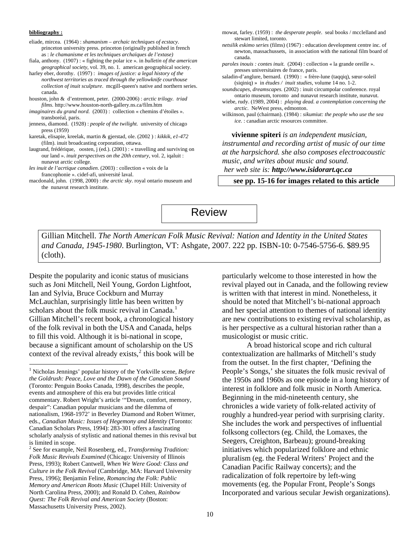#### **bibliography :**

 $\overline{a}$ 

eliade, mircea. (1964) : *shamanism – archaic techniques of ecstacy*. princeton university press. princeton (originally published in french as : *le chamanisme et les techniques archaïques de l'extase)* 

fiala, anthony. (1907) : « fighting the polar ice »*.* in *bulletin of the american geographical society*, vol. 39, no. 1. american geographical society.

harley eber, dorothy. (1997) : *images of justice: a legal history of the northwest territories as traced through the yellowknife courthouse collection of inuit sculpture*. mcgill-queen's native and northern series. canada.

- houston, john & d'entremont, peter. (2000-2006) : *arctic trilogy. triad films.* <http://www.houston-north-gallery.ns.ca/film.htm>
- *imaginaires du grand nord.* (2003) : collection « chemins d'étoiles ». transboréal, paris.
- jenness, diamond. (1928) : *people of the twilight.* university of chicago press (1959)
- karetak, elisapie, kreelak, martin & gjerstad, ole. (2002 ) : *kikkik, e1-472* (film). inuit broadcasting corporation, ottawa.

laugrand, frédérique, oosten, j (ed.). (2001) : « travelling and surviving on our land ». *inuit perspectives on the 20th century*, vol. 2, iqaluit : nunavut arctic college.

- *les inuit de l'acrtique canadien*. (2003) : collection « voix de la francophonie ». cidef-afi, université laval.
- macdonald, john. (1998, 2000) : *the arctic sky*. royal ontario museum and the nunavut research institute.
- mowat, farley. (1959) : *the desperate people*. seal books / mcclelland and stewart limited, toronto*.*
- *netsilik eskimo series* (films) (1967) : education development centre inc. of newton, massachussets, in association with the national film board of canada.
- *paroles inouis : contes inuit.* (2004) : collection « la grande oreille ». presses universitaires de france, paris.
- saladin-d'anglure, bernard. (1990) : « frère-lune (taqqiq), sœur-soleil (siqiniq) » in *études / inuit studies*, volume 14 no. 1-2.
- *soundscapes, dreamscapes.* (2002) : inuit circumpolar conference. royal ontario museum, toronto and nunavut research institute, nunavut.
- wiebe, rudy. (1989, 2004) : *playing dead. a contemplation concerning the arctic*. NeWest press, edmonton.
- wilkinson, paul (chairman). (1984) : *sikumiut: the people who use the sea ice.* : canadian arctic resources committee.

**vivienne spiteri** *is an independent musician, instrumental and recording artist of music of our time at the harpsichord. she also composes electroacoustic music, and writes about music and sound. her web site is: [http://www.isidorart.qc.ca](http://www.isidorart.qc.ca/)*

**see pp. 15-16 for images related to this article** 

Review

Gillian Mitchell. *The North American Folk Music Revival: Nation and Identity in the United States and Canada, 1945-1980*. Burlington, VT: Ashgate, 2007. 222 pp. ISBN-10: 0-7546-5756-6. \$89.95 (cloth).

Despite the popularity and iconic status of musicians such as Joni Mitchell, Neil Young, Gordon Lightfoot, Ian and Sylvia, Bruce Cockburn and Murray McLauchlan, surprisingly little has been written by scholars about the folk music revival in Canada.<sup>[1](#page-9-0)</sup> Gillian Mitchell's recent book, a chronological history of the folk revival in both the USA and Canada, helps to fill this void. Although it is bi-national in scope, because a significant amount of scholarship on the US context of the revival already exists, $2$  this book will be particularly welcome to those interested in how the revival played out in Canada, and the following review is written with that interest in mind. Nonetheless, it should be noted that Mitchell's bi-national approach and her special attention to themes of national identity are new contributions to existing revival scholarship, as is her perspective as a cultural historian rather than a musicologist or music critic.

A broad historical scope and rich cultural contextualization are hallmarks of Mitchell's study from the outset. In the first chapter, 'Defining the People's Songs,' she situates the folk music revival of the 1950s and 1960s as one episode in a long history of interest in folklore and folk music in North America. Beginning in the mid-nineteenth century, she chronicles a wide variety of folk-related activity of roughly a hundred-year period with surprising clarity. She includes the work and perspectives of influential folksong collectors (eg. Child, the Lomaxes, the Seegers, Creighton, Barbeau); ground-breaking initiatives which popularized folklore and ethnic pluralism (eg. the Federal Writers' Project and the Canadian Pacific Railway concerts); and the radicalization of folk repertoire by left-wing movements (eg. the Popular Front, People's Songs Incorporated and various secular Jewish organizations).

<span id="page-9-0"></span><sup>1</sup> Nicholas Jennings' popular history of the Yorkville scene, *Before the Goldrush: Peace, Love and the Dawn of the Canadian Sound* (Toronto: Penguin Books Canada, 1998), describes the people, events and atmosphere of this era but provides little critical commentary. Robert Wright's article '"Dream, comfort, memory, despair": Canadian popular musicians and the dilemma of nationalism, 1968-1972' in Beverley Diamond and Robert Witmer, eds., *Canadian Music: Issues of Hegemony and Identity* (Toronto: Canadian Scholars Press, 1994): 283-301 offers a fascinating scholarly analysis of stylistic and national themes in this revival but is limited in scope.

<span id="page-9-1"></span><sup>2</sup> See for example, Neil Rosenberg, ed., *Transforming Tradition: Folk Music Revivals Examined* (Chicago: University of Illinois Press, 1993); Robert Cantwell, *When We Were Good: Class and Culture in the Folk Revival* (Cambridge, MA: Harvard University Press, 1996); Benjamin Feline, *Romancing the Folk: Public Memory and American Roots Music* (Chapel Hill: University of North Carolina Press, 2000); and Ronald D. Cohen, *Rainbow Quest: The Folk Revival and American Society* (Boston: Massachusetts University Press, 2002).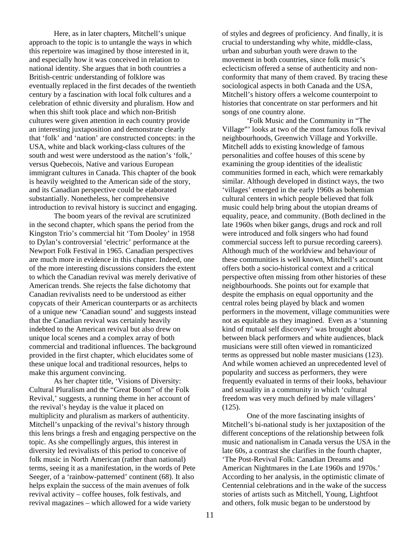Here, as in later chapters, Mitchell's unique approach to the topic is to untangle the ways in which this repertoire was imagined by those interested in it, and especially how it was conceived in relation to national identity. She argues that in both countries a British-centric understanding of folklore was eventually replaced in the first decades of the twentieth century by a fascination with local folk cultures and a celebration of ethnic diversity and pluralism. How and when this shift took place and which non-British cultures were given attention in each country provide an interesting juxtaposition and demonstrate clearly that 'folk' and 'nation' are constructed concepts: in the USA, white and black working-class cultures of the south and west were understood as the nation's 'folk,' versus Quebecois, Native and various European immigrant cultures in Canada. This chapter of the book is heavily weighted to the American side of the story, and its Canadian perspective could be elaborated substantially. Nonetheless, her comprehensive introduction to revival history is succinct and engaging.

The boom years of the revival are scrutinized in the second chapter, which spans the period from the Kingston Trio's commercial hit 'Tom Dooley' in 1958 to Dylan's controversial 'electric' performance at the Newport Folk Festival in 1965. Canadian perspectives are much more in evidence in this chapter. Indeed, one of the more interesting discussions considers the extent to which the Canadian revival was merely derivative of American trends. She rejects the false dichotomy that Canadian revivalists need to be understood as either copycats of their American counterparts or as architects of a unique new 'Canadian sound' and suggests instead that the Canadian revival was certainly heavily indebted to the American revival but also drew on unique local scenes and a complex array of both commercial and traditional influences. The background provided in the first chapter, which elucidates some of these unique local and traditional resources, helps to make this argument convincing.

As her chapter title, 'Visions of Diversity: Cultural Pluralism and the "Great Boom" of the Folk Revival,' suggests, a running theme in her account of the revival's heyday is the value it placed on multiplicity and pluralism as markers of authenticity. Mitchell's unpacking of the revival's history through this lens brings a fresh and engaging perspective on the topic. As she compellingly argues, this interest in diversity led revivalists of this period to conceive of folk music in North American (rather than national) terms, seeing it as a manifestation, in the words of Pete Seeger, of a 'rainbow-patterned' continent (68). It also helps explain the success of the main avenues of folk revival activity – coffee houses, folk festivals, and revival magazines – which allowed for a wide variety

of styles and degrees of proficiency. And finally, it is crucial to understanding why white, middle-class, urban and suburban youth were drawn to the movement in both countries, since folk music's eclecticism offered a sense of authenticity and nonconformity that many of them craved. By tracing these sociological aspects in both Canada and the USA, Mitchell's history offers a welcome counterpoint to histories that concentrate on star performers and hit songs of one country alone.

'Folk Music and the Community in "The Village"' looks at two of the most famous folk revival neighbourhoods, Greenwich Village and Yorkville. Mitchell adds to existing knowledge of famous personalities and coffee houses of this scene by examining the group identities of the idealistic communities formed in each, which were remarkably similar. Although developed in distinct ways, the two 'villages' emerged in the early 1960s as bohemian cultural centers in which people believed that folk music could help bring about the utopian dreams of equality, peace, and community. (Both declined in the late 1960s when biker gangs, drugs and rock and roll were introduced and folk singers who had found commercial success left to pursue recording careers). Although much of the worldview and behaviour of these communities is well known, Mitchell's account offers both a socio-historical context and a critical perspective often missing from other histories of these neighbourhoods. She points out for example that despite the emphasis on equal opportunity and the central roles being played by black and women performers in the movement, village communities were not as equitable as they imagined. Even as a 'stunning kind of mutual self discovery' was brought about between black performers and white audiences, black musicians were still often viewed in romanticized terms as oppressed but noble master musicians (123). And while women achieved an unprecedented level of popularity and success as performers, they were frequently evaluated in terms of their looks, behaviour and sexuality in a community in which 'cultural freedom was very much defined by male villagers' (125).

One of the more fascinating insights of Mitchell's bi-national study is her juxtaposition of the different conceptions of the relationship between folk music and nationalism in Canada versus the USA in the late 60s, a contrast she clarifies in the fourth chapter, 'The Post-Revival Folk: Canadian Dreams and American Nightmares in the Late 1960s and 1970s.' According to her analysis, in the optimistic climate of Centennial celebrations and in the wake of the success stories of artists such as Mitchell, Young, Lightfoot and others, folk music began to be understood by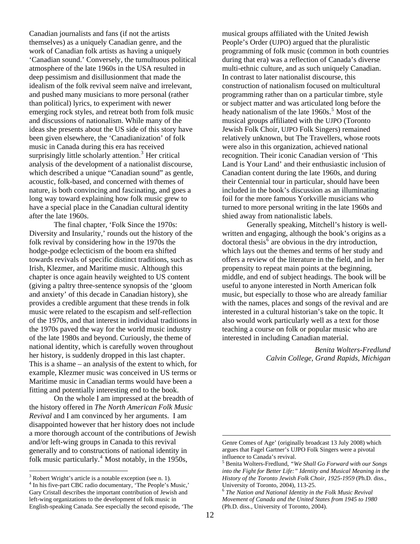Canadian journalists and fans (if not the artists themselves) as a uniquely Canadian genre, and the work of Canadian folk artists as having a uniquely 'Canadian sound.' Conversely, the tumultuous political atmosphere of the late 1960s in the USA resulted in deep pessimism and disillusionment that made the idealism of the folk revival seem naïve and irrelevant, and pushed many musicians to more personal (rather than political) lyrics, to experiment with newer emerging rock styles, and retreat both from folk music and discussions of nationalism. While many of the ideas she presents about the US side of this story have been given elsewhere, the 'Canadianization' of folk music in Canada during this era has received surprisingly little scholarly attention.<sup>[3](#page-11-0)</sup> Her critical analysis of the development of a nationalist discourse, which described a unique "Canadian sound" as gentle, acoustic, folk-based, and concerned with themes of nature, is both convincing and fascinating, and goes a long way toward explaining how folk music grew to have a special place in the Canadian cultural identity after the late 1960s.

The final chapter, 'Folk Since the 1970s: Diversity and Insularity,' rounds out the history of the folk revival by considering how in the 1970s the hodge-podge eclecticism of the boom era shifted towards revivals of specific distinct traditions, such as Irish, Klezmer, and Maritime music. Although this chapter is once again heavily weighted to US content (giving a paltry three-sentence synopsis of the 'gloom and anxiety' of this decade in Canadian history), she provides a credible argument that these trends in folk music were related to the escapism and self-reflection of the 1970s, and that interest in individual traditions in the 1970s paved the way for the world music industry of the late 1980s and beyond. Curiously, the theme of national identity, which is carefully woven throughout her history, is suddenly dropped in this last chapter. This is a shame – an analysis of the extent to which, for example, Klezmer music was conceived in US terms or Maritime music in Canadian terms would have been a fitting and potentially interesting end to the book.

On the whole I am impressed at the breadth of the history offered in *The North American Folk Music Revival* and I am convinced by her arguments. I am disappointed however that her history does not include a more thorough account of the contributions of Jewish and/or left-wing groups in Canada to this revival generally and to constructions of national identity in folk music particularly.<sup>[4](#page-11-1)</sup> Most notably, in the 1950s,

<span id="page-11-2"></span> $\overline{a}$ 

musical groups affiliated with the United Jewish People's Order (UJPO) argued that the pluralistic programming of folk music (common in both countries during that era) was a reflection of Canada's diverse multi-ethnic culture, and as such uniquely Canadian. In contrast to later nationalist discourse, this construction of nationalism focused on multicultural programming rather than on a particular timbre, style or subject matter and was articulated long before the heady nationalism of the late 1960s.<sup>[5](#page-11-2)</sup> Most of the musical groups affiliated with the UJPO (Toronto Jewish Folk Choir, UJPO Folk Singers) remained relatively unknown, but The Travellers, whose roots were also in this organization, achieved national recognition. Their iconic Canadian version of 'This Land is Your Land' and their enthusiastic inclusion of Canadian content during the late 1960s, and during their Centennial tour in particular, should have been included in the book's discussion as an illuminating foil for the more famous Yorkville musicians who turned to more personal writing in the late 1960s and shied away from nationalistic labels.

Generally speaking, Mitchell's history is wellwritten and engaging, although the book's origins as a doctoral thesis<sup> $\overline{6}$  $\overline{6}$  $\overline{6}$ </sup> are obvious in the dry introduction, which lays out the themes and terms of her study and offers a review of the literature in the field, and in her propensity to repeat main points at the beginning, middle, and end of subject headings. The book will be useful to anyone interested in North American folk music, but especially to those who are already familiar with the names, places and songs of the revival and are interested in a cultural historian's take on the topic. It also would work particularly well as a text for those teaching a course on folk or popular music who are interested in including Canadian material.

> *Benita Wolters-Fredlund Calvin College, Grand Rapids, Michigan*

<span id="page-11-3"></span><span id="page-11-1"></span><span id="page-11-0"></span><sup>&</sup>lt;sup>3</sup> Robert Wright's article is a notable exception (see n. 1).<br><sup>4</sup> In his five next CBC radio decumentary, 'The Beaple's N <sup>4</sup> In his five-part CBC radio documentary, 'The People's Music,' Gary Cristall describes the important contribution of Jewish and left-wing organizations to the development of folk music in English-speaking Canada. See especially the second episode, 'The

Genre Comes of Age' (originally broadcast 13 July 2008) which argues that Fagel Gartner's UJPO Folk Singers were a pivotal influence to Canada's revival.

<sup>5</sup> Benita Wolters-Fredlund, *"We Shall Go Forward with our Songs into the Fight for Better Life:" Identity and Musical Meaning in the History of the Toronto Jewish Folk Choir, 1925-1959* (Ph.D. diss., University of Toronto, 2004), 113-25.

<sup>6</sup> *The Nation and National Identity in the Folk Music Revival Movement of Canada and the United States from 1945 to 1980* (Ph.D. diss., University of Toronto, 2004).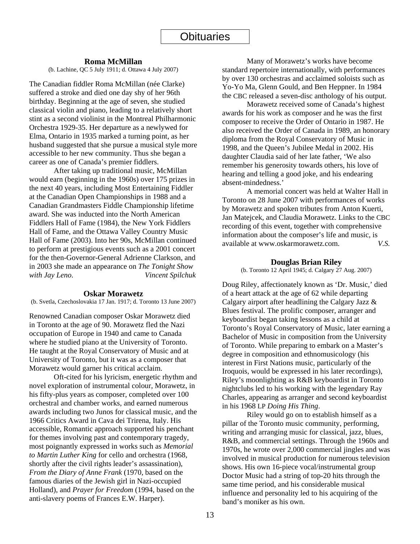### **Roma McMillan**

(b. Lachine, QC 5 July 1911; d. Ottawa 4 July 2007)

The Canadian fiddler Roma McMillan (née Clarke) suffered a stroke and died one day shy of her 96th birthday. Beginning at the age of seven, she studied classical violin and piano, leading to a relatively short stint as a second violinist in the Montreal Philharmonic Orchestra 1929-35. Her departure as a newlywed for Elma, Ontario in 1935 marked a turning point, as her husband suggested that she pursue a musical style more accessible to her new community. Thus she began a career as one of Canada's premier fiddlers.

 After taking up traditional music, McMillan would earn (beginning in the 1960s) over 175 prizes in the next 40 years, including Most Entertaining Fiddler at the Canadian Open Championships in 1988 and a Canadian Grandmasters Fiddle Championship lifetime award. She was inducted into the North American Fiddlers Hall of Fame (1984), the New York Fiddlers Hall of Fame, and the Ottawa Valley Country Music Hall of Fame (2003). Into her 90s, McMillan continued to perform at prestigious events such as a 2001 concert for the then-Governor-General Adrienne Clarkson, and in 2003 she made an appearance on *The Tonight Show with Jay Leno*. *Vincent Spilchuk* 

#### **Oskar Morawetz**

(b. Svetla, Czechoslovakia 17 Jan. 1917; d. Toronto 13 June 2007)

Renowned Canadian composer Oskar Morawetz died in Toronto at the age of 90. Morawetz fled the Nazi occupation of Europe in 1940 and came to Canada where he studied piano at the University of Toronto. He taught at the Royal Conservatory of Music and at University of Toronto, but it was as a composer that Morawetz would garner his critical acclaim.

 Oft-cited for his lyricism, energetic rhythm and novel exploration of instrumental colour, Morawetz, in his fifty-plus years as composer, completed over 100 orchestral and chamber works, and earned numerous awards including two Junos for classical music, and the 1966 Critics Award in Cava dei Trirena, Italy. His accessible, Romantic approach supported his penchant for themes involving past and contemporary tragedy, most poignantly expressed in works such as *Memorial to Martin Luther King* for cello and orchestra (1968, shortly after the civil rights leader's assassination), *From the Diary of Anne Frank* (1970, based on the famous diaries of the Jewish girl in Nazi-occupied Holland), and *Prayer for Freedom* (1994, based on the anti-slavery poems of Frances E.W. Harper).

 Many of Morawetz's works have become standard repertoire internationally, with performances by over 130 orchestras and acclaimed soloists such as Yo-Yo Ma, Glenn Gould, and Ben Heppner. In 1984 the CBC released a seven-disc anthology of his output.

 Morawetz received some of Canada's highest awards for his work as composer and he was the first composer to receive the Order of Ontario in 1987. He also received the Order of Canada in 1989, an honorary diploma from the Royal Conservatory of Music in 1998, and the Queen's Jubilee Medal in 2002. His daughter Claudia said of her late father, 'We also remember his generosity towards others, his love of hearing and telling a good joke, and his endearing absent-mindedness.'

A memorial concert was held at Walter Hall in Toronto on 28 June 2007 with performances of works by Morawetz and spoken tributes from Anton Kuerti, Jan Matejcek, and Claudia Morawetz. Links to the CBC recording of this event, together with comprehensive information about the composer's life and music, is available at www.oskarmorawetz.com. *V.S.* 

#### **Douglas Brian Riley**

(b. Toronto 12 April 1945; d. Calgary 27 Aug. 2007)

Doug Riley, affectionately known as 'Dr. Music,' died of a heart attack at the age of 62 while departing Calgary airport after headlining the Calgary Jazz & Blues festival. The prolific composer, arranger and keyboardist began taking lessons as a child at Toronto's Royal Conservatory of Music, later earning a Bachelor of Music in composition from the University of Toronto. While preparing to embark on a Master's degree in composition and ethnomusicology (his interest in First Nations music, particularly of the Iroquois, would be expressed in his later recordings), Riley's moonlighting as R&B keyboardist in Toronto nightclubs led to his working with the legendary Ray Charles, appearing as arranger and second keyboardist in his 1968 LP *Doing His Thing*.

 Riley would go on to establish himself as a pillar of the Toronto music community, performing, writing and arranging music for classical, jazz, blues, R&B, and commercial settings. Through the 1960s and 1970s, he wrote over 2,000 commercial jingles and was involved in musical production for numerous television shows. His own 16-piece vocal/instrumental group Doctor Music had a string of top-20 hits through the same time period, and his considerable musical influence and personality led to his acquiring of the band's moniker as his own.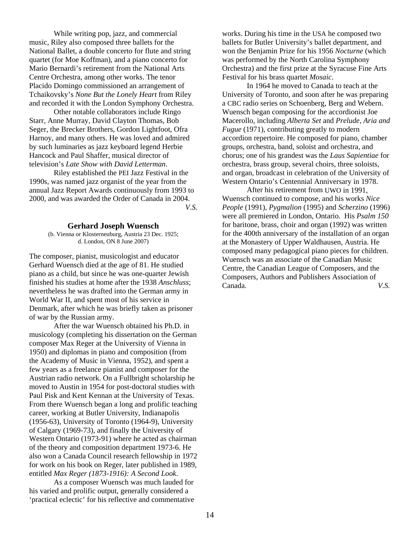While writing pop, jazz, and commercial music, Riley also composed three ballets for the National Ballet, a double concerto for flute and string quartet (for Moe Koffman), and a piano concerto for Mario Bernardi's retirement from the National Arts Centre Orchestra, among other works. The tenor Placido Domingo commissioned an arrangement of Tchaikovsky's *None But the Lonely Heart* from Riley and recorded it with the London Symphony Orchestra.

 Other notable collaborators include Ringo Starr, Anne Murray, David Clayton Thomas, Bob Seger, the Brecker Brothers, Gordon Lightfoot, Ofra Harnoy, and many others. He was loved and admired by such luminaries as jazz keyboard legend Herbie Hancock and Paul Shaffer, musical director of television's *Late Show with David Letterman*.

 Riley established the PEI Jazz Festival in the 1990s, was named jazz organist of the year from the annual Jazz Report Awards continuously from 1993 to 2000, and was awarded the Order of Canada in 2004. *V.S.*

#### **Gerhard Joseph Wuensch**

(b. Vienna or Klosterneuburg, Austria 23 Dec. 1925; d. London, ON 8 June 2007)

The composer, pianist, musicologist and educator Gerhard Wuensch died at the age of 81. He studied piano as a child, but since he was one-quarter Jewish finished his studies at home after the 1938 *Anschluss*; nevertheless he was drafted into the German army in World War II, and spent most of his service in Denmark, after which he was briefly taken as prisoner of war by the Russian army.

 After the war Wuensch obtained his Ph.D. in musicology (completing his dissertation on the German composer Max Reger at the University of Vienna in 1950) and diplomas in piano and composition (from the Academy of Music in Vienna, 1952), and spent a few years as a freelance pianist and composer for the Austrian radio network. On a Fullbright scholarship he moved to Austin in 1954 for post-doctoral studies with Paul Pisk and Kent Kennan at the University of Texas. From there Wuensch began a long and prolific teaching career, working at Butler University, Indianapolis (1956-63), University of Toronto (1964-9), University of Calgary (1969-73), and finally the University of Western Ontario (1973-91) where he acted as chairman of the theory and composition department 1973-6. He also won a Canada Council research fellowship in 1972 for work on his book on Reger, later published in 1989, entitled *Max Reger (1873-1916): A Second Look*.

 As a composer Wuensch was much lauded for his varied and prolific output, generally considered a 'practical eclectic' for his reflective and commentative works. During his time in the USA he composed two ballets for Butler University's ballet department, and won the Benjamin Prize for his 1956 *Nocturne* (which was performed by the North Carolina Symphony Orchestra) and the first prize at the Syracuse Fine Arts Festival for his brass quartet *Mosaic*.

 In 1964 he moved to Canada to teach at the University of Toronto, and soon after he was preparing a CBC radio series on Schoenberg, Berg and Webern. Wuensch began composing for the accordionist Joe Macerollo, including *Alberta Set* and *Prelude, Aria and Fugue* (1971), contributing greatly to modern accordion repertoire. He composed for piano, chamber groups, orchestra, band, soloist and orchestra, and chorus; one of his grandest was the *Laus Sapientiae* for orchestra, brass group, several choirs, three soloists, and organ, broadcast in celebration of the University of Western Ontario's Centennial Anniversary in 1978.

 After his retirement from UWO in 1991, Wuensch continued to compose, and his works *Nice People* (1991), *Pygmalion* (1995) and *Scherzino* (1996) were all premiered in London, Ontario. His *Psalm 150* for baritone, brass, choir and organ (1992) was written for the 400th anniversary of the installation of an organ at the Monastery of Upper Waldhausen, Austria. He composed many pedagogical piano pieces for children. Wuensch was an associate of the Canadian Music Centre, the Canadian League of Composers, and the Composers, Authors and Publishers Association of Canada. *V.S.*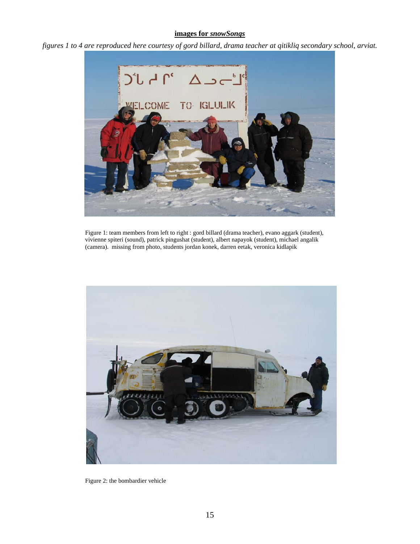# **images for** *snowSongs*

*figures 1 to 4 are reproduced here courtesy of gord billard, drama teacher at qitikliq secondary school, arviat.*



Figure 1: team members from left to right : gord billard (drama teacher), evano aggark (student), vivienne spiteri (sound), patrick pingushat (student), albert napayok (student), michael angalik (camera). missing from photo, students jordan konek, darren eetak, veronica kidlapik



Figure 2: the bombardier vehicle